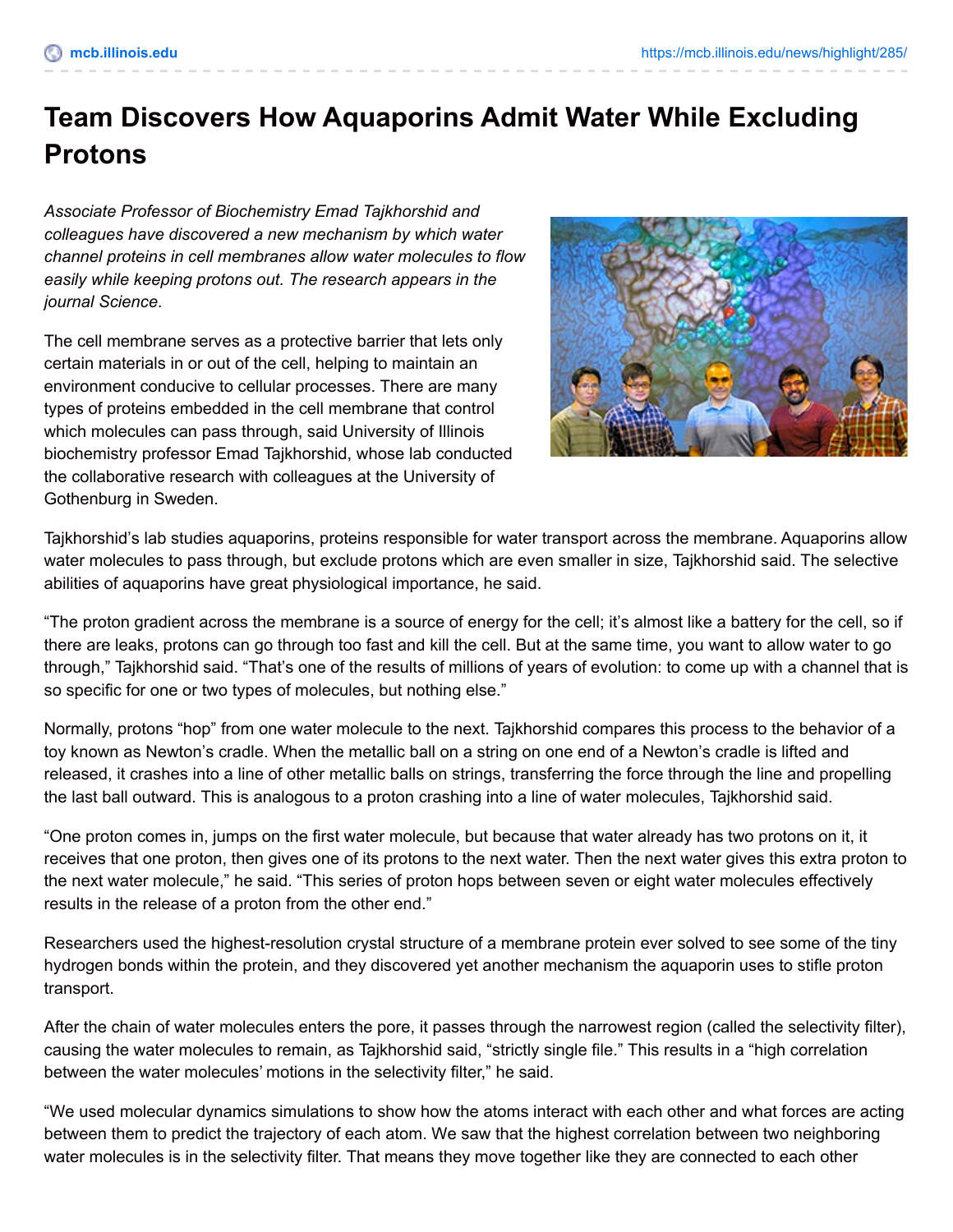## **Team Discovers How Aquaporins Admit Water While Excluding Protons**

*Associate Professor of Biochemistry Emad Tajkhorshid and colleagues have discovered a new mechanism by which water channel proteins in cell membranes allow water molecules to flow easily while keeping protons out. The research appears in the journal Science.*

The cell membrane serves as a protective barrier that lets only certain materials in or out of the cell, helping to maintain an environment conducive to cellular processes. There are many types of proteins embedded in the cell membrane that control which molecules can pass through, said University of Illinois biochemistry professor Emad Tajkhorshid, whose lab conducted the collaborative research with colleagues at the University of Gothenburg in Sweden.



Tajkhorshid's lab studies aquaporins, proteins responsible for water transport across the membrane. Aquaporins allow water molecules to pass through, but exclude protons which are even smaller in size, Tajkhorshid said. The selective abilities of aquaporins have great physiological importance, he said.

"The proton gradient across the membrane is a source of energy for the cell; it's almost like a battery for the cell, so if there are leaks, protons can go through too fast and kill the cell. But at the same time, you want to allow water to go through," Tajkhorshid said. "That's one of the results of millions of years of evolution: to come up with a channel that is so specific for one or two types of molecules, but nothing else."

Normally, protons "hop" from one water molecule to the next. Tajkhorshid compares this process to the behavior of a toy known as Newton's cradle. When the metallic ball on a string on one end of a Newton's cradle is lifted and released, it crashes into a line of other metallic balls on strings, transferring the force through the line and propelling the last ball outward. This is analogous to a proton crashing into a line of water molecules, Tajkhorshid said.

"One proton comes in, jumps on the first water molecule, but because that water already has two protons on it, it receives that one proton, then gives one of its protons to the next water. Then the next water gives this extra proton to the next water molecule," he said. "This series of proton hops between seven or eight water molecules effectively results in the release of a proton from the other end."

Researchers used the highest-resolution crystal structure of a membrane protein ever solved to see some of the tiny hydrogen bonds within the protein, and they discovered yet another mechanism the aquaporin uses to stifle proton transport.

After the chain of water molecules enters the pore, it passes through the narrowest region (called the selectivity filter), causing the water molecules to remain, as Tajkhorshid said, "strictly single file." This results in a "high correlation between the water molecules' motions in the selectivity filter," he said.

"We used molecular dynamics simulations to show how the atoms interact with each other and what forces are acting between them to predict the trajectory of each atom. We saw that the highest correlation between two neighboring water molecules is in the selectivity filter. That means they move together like they are connected to each other